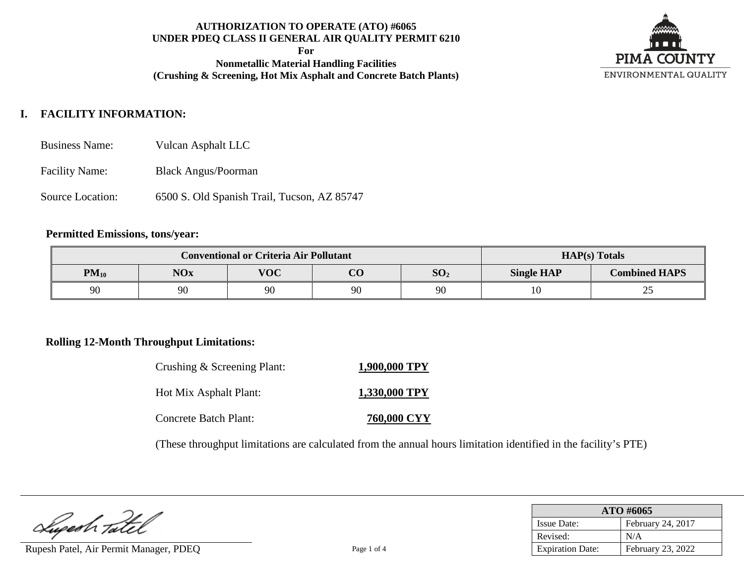**For**

**Nonmetallic Material Handling Facilities (Crushing & Screening, Hot Mix Asphalt and Concrete Batch Plants)**



# **I. FACILITY INFORMATION:**

- Business Name: Vulcan Asphalt LLC
- Facility Name: Black Angus/Poorman
- Source Location: 6500 S. Old Spanish Trail, Tucson, AZ 85747

#### **Permitted Emissions, tons/year:**

|           | <b>Conventional or Criteria Air Pollutant</b> |            | $HAP(s)$ Totals |                 |                   |                      |
|-----------|-----------------------------------------------|------------|-----------------|-----------------|-------------------|----------------------|
| $PM_{10}$ | <b>NOx</b>                                    | <b>VOC</b> | $\Omega$        | SO <sub>2</sub> | <b>Single HAP</b> | <b>Combined HAPS</b> |
| 90        | 90                                            | 90         | 90              | 90              |                   | ኅ 2<br>ر_            |

## **Rolling 12-Month Throughput Limitations:**

| Crushing & Screening Plant: | 1,900,000 TPY      |
|-----------------------------|--------------------|
| Hot Mix Asphalt Plant:      | 1,330,000 TPY      |
| Concrete Batch Plant:       | <b>760,000 CYY</b> |

(These throughput limitations are calculated from the annual hours limitation identified in the facility's PTE)

Lupeah Tatel

Rupesh Patel, Air Permit Manager, PDEQ Page 1 of 4

| ATO #6065               |                   |  |  |  |
|-------------------------|-------------------|--|--|--|
| <b>Issue Date:</b>      | February 24, 2017 |  |  |  |
| Revised:                | N/A               |  |  |  |
| <b>Expiration Date:</b> | February 23, 2022 |  |  |  |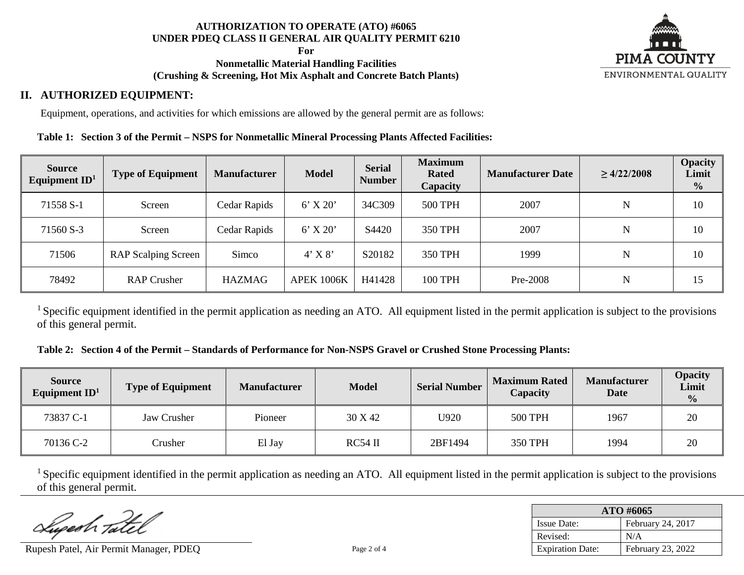**For**

### **Nonmetallic Material Handling Facilities (Crushing & Screening, Hot Mix Asphalt and Concrete Batch Plants)**



## **II. AUTHORIZED EQUIPMENT:**

Equipment, operations, and activities for which emissions are allowed by the general permit are as follows:

### **Table 1: Section 3 of the Permit – NSPS for Nonmetallic Mineral Processing Plants Affected Facilities:**

| <b>Source</b><br>Equipment $ID1$ | <b>Type of Equipment</b>   | <b>Manufacturer</b> | <b>Model</b>      | <b>Serial</b><br><b>Number</b> | <b>Maximum</b><br><b>Rated</b><br>Capacity | <b>Manufacturer Date</b> | $\geq 4/22/2008$ | <b>Opacity</b><br>Limit<br>$\frac{0}{0}$ |
|----------------------------------|----------------------------|---------------------|-------------------|--------------------------------|--------------------------------------------|--------------------------|------------------|------------------------------------------|
| 71558 S-1                        | Screen                     | Cedar Rapids        | $6'$ X 20'        | 34C309                         | <b>500 TPH</b>                             | 2007                     | ${\bf N}$        | 10                                       |
| 71560 S-3                        | Screen                     | Cedar Rapids        | $6'$ X 20'        | S4420                          | 350 TPH                                    | 2007                     | N                | 10                                       |
| 71506                            | <b>RAP Scalping Screen</b> | Simco               | $4'$ X $8'$       | S20182                         | 350 TPH                                    | 1999                     | $\mathbf N$      | 10                                       |
| 78492                            | <b>RAP Crusher</b>         | <b>HAZMAG</b>       | <b>APEK 1006K</b> | H41428                         | <b>100 TPH</b>                             | Pre-2008                 | N                | 15                                       |

<sup>1</sup> Specific equipment identified in the permit application as needing an ATO. All equipment listed in the permit application is subject to the provisions of this general permit.

#### **Table 2: Section 4 of the Permit – Standards of Performance for Non-NSPS Gravel or Crushed Stone Processing Plants:**

| <b>Source</b><br>Equipment $ID1$ | Type of Equipment | <b>Manufacturer</b> | <b>Model</b> | <b>Serial Number</b> | <b>Maximum Rated</b><br>Capacity | <b>Manufacturer</b><br><b>Date</b> | <b>Opacity</b><br>Limit<br>$\frac{0}{0}$ |
|----------------------------------|-------------------|---------------------|--------------|----------------------|----------------------------------|------------------------------------|------------------------------------------|
| 73837 C-1                        | Jaw Crusher       | Pioneer             | 30 X 42      | U920                 | <b>500 TPH</b>                   | 1967                               | 20                                       |
| 70136 C-2                        | Crusher           | El Jay              | $RC54$ II    | 2BF1494              | <b>350 TPH</b>                   | 1994                               | 20                                       |

 $<sup>1</sup>$  Specific equipment identified in the permit application as needing an ATO. All equipment listed in the permit application is subject to the provisions</sup> of this general permit.

Lugesh Tate

Rupesh Patel, Air Permit Manager, PDEO Page 2 of 4

| ATO #6065               |                   |  |  |  |
|-------------------------|-------------------|--|--|--|
| <b>Issue Date:</b>      | February 24, 2017 |  |  |  |
| Revised:                | N/A               |  |  |  |
| <b>Expiration Date:</b> | February 23, 2022 |  |  |  |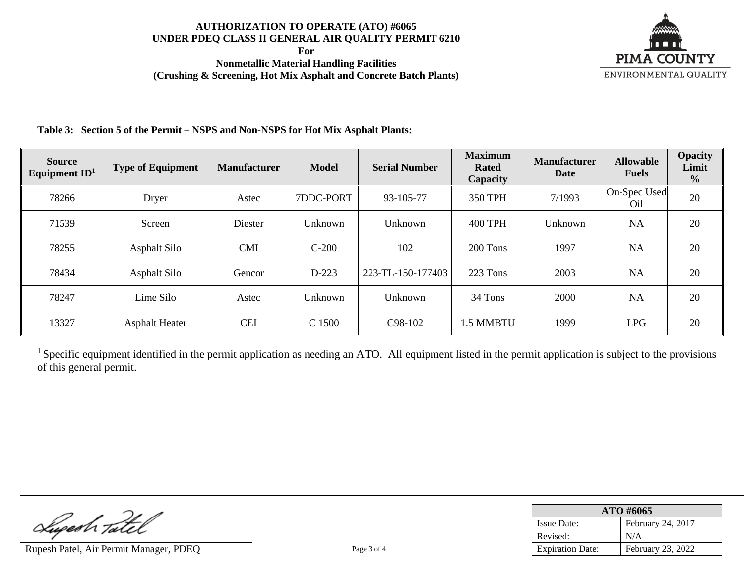**For**

**Nonmetallic Material Handling Facilities (Crushing & Screening, Hot Mix Asphalt and Concrete Batch Plants)**



**Table 3: Section 5 of the Permit – NSPS and Non-NSPS for Hot Mix Asphalt Plants:**

| <b>Source</b><br>Equipment $ID1$ | <b>Type of Equipment</b> | <b>Manufacturer</b> | <b>Model</b> | <b>Serial Number</b> | <b>Maximum</b><br><b>Rated</b><br>Capacity | <b>Manufacturer</b><br><b>Date</b> | <b>Allowable</b><br><b>Fuels</b> | <b>Opacity</b><br>Limit<br>$\frac{0}{0}$ |
|----------------------------------|--------------------------|---------------------|--------------|----------------------|--------------------------------------------|------------------------------------|----------------------------------|------------------------------------------|
| 78266                            | Dryer                    | Astec               | 7DDC-PORT    | 93-105-77            | 350 TPH                                    | 7/1993                             | On-Spec Used<br>O <sub>il</sub>  | 20                                       |
| 71539                            | Screen                   | Diester             | Unknown      | Unknown              | <b>400 TPH</b>                             | Unknown                            | <b>NA</b>                        | 20                                       |
| 78255                            | Asphalt Silo             | <b>CMI</b>          | $C-200$      | 102                  | 200 Tons                                   | 1997                               | <b>NA</b>                        | 20                                       |
| 78434                            | Asphalt Silo             | Gencor              | $D-223$      | 223-TL-150-177403    | 223 Tons                                   | 2003                               | <b>NA</b>                        | 20                                       |
| 78247                            | Lime Silo                | Astec               | Unknown      | Unknown              | 34 Tons                                    | 2000                               | <b>NA</b>                        | 20                                       |
| 13327                            | <b>Asphalt Heater</b>    | <b>CEI</b>          | C 1500       | C98-102              | 1.5 MMBTU                                  | 1999                               | <b>LPG</b>                       | 20                                       |

<sup>1</sup> Specific equipment identified in the permit application as needing an ATO. All equipment listed in the permit application is subject to the provisions of this general permit.

Luperh Tatel

Rupesh Patel, Air Permit Manager, PDEQ Page 3 of 4

| ATO #6065               |                   |  |  |  |
|-------------------------|-------------------|--|--|--|
| <b>Issue Date:</b>      | February 24, 2017 |  |  |  |
| Revised:                | N/A               |  |  |  |
| <b>Expiration Date:</b> | February 23, 2022 |  |  |  |